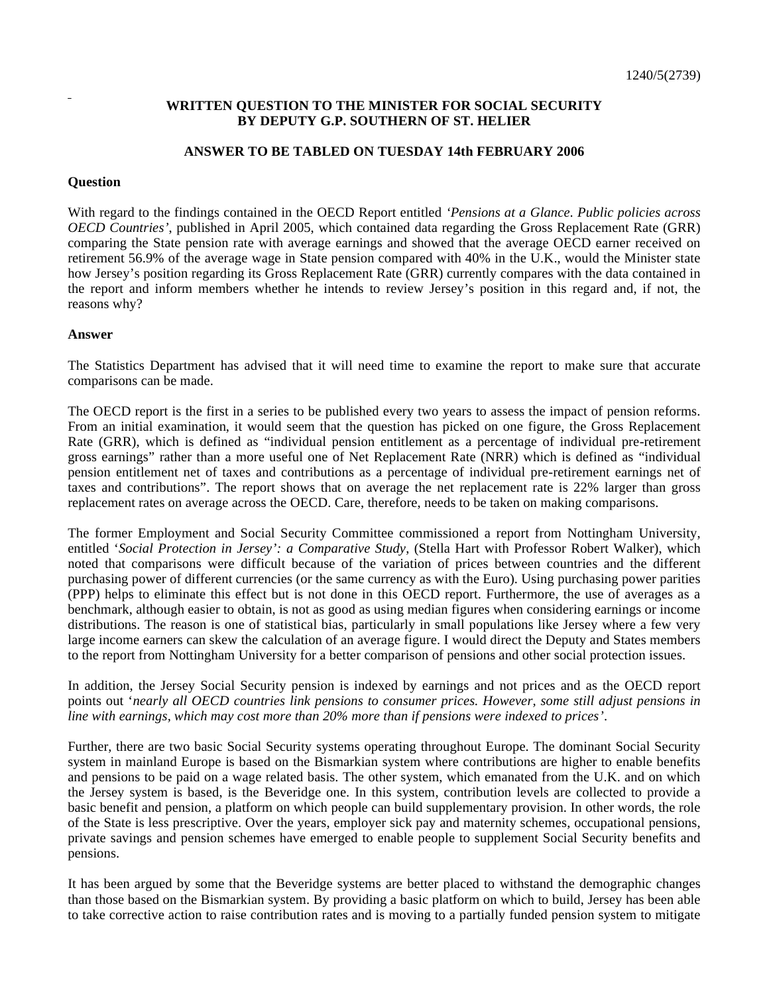## **WRITTEN QUESTION TO THE MINISTER FOR SOCIAL SECURITY BY DEPUTY G.P. SOUTHERN OF ST. HELIER**

## **ANSWER TO BE TABLED ON TUESDAY 14th FEBRUARY 2006**

## **Question**

With regard to the findings contained in the OECD Report entitled *'Pensions at a Glance. Public policies across OECD Countries'*, published in April 2005, which contained data regarding the Gross Replacement Rate (GRR) comparing the State pension rate with average earnings and showed that the average OECD earner received on retirement 56.9% of the average wage in State pension compared with 40% in the U.K., would the Minister state how Jersey's position regarding its Gross Replacement Rate (GRR) currently compares with the data contained in the report and inform members whether he intends to review Jersey's position in this regard and, if not, the reasons why?

## **Answer**

The Statistics Department has advised that it will need time to examine the report to make sure that accurate comparisons can be made.

The OECD report is the first in a series to be published every two years to assess the impact of pension reforms. From an initial examination, it would seem that the question has picked on one figure, the Gross Replacement Rate (GRR), which is defined as "individual pension entitlement as a percentage of individual pre-retirement gross earnings" rather than a more useful one of Net Replacement Rate (NRR) which is defined as "individual pension entitlement net of taxes and contributions as a percentage of individual pre-retirement earnings net of taxes and contributions". The report shows that on average the net replacement rate is 22% larger than gross replacement rates on average across the OECD. Care, therefore, needs to be taken on making comparisons.

The former Employment and Social Security Committee commissioned a report from Nottingham University, entitled '*Social Protection in Jersey': a Comparative Study*, (Stella Hart with Professor Robert Walker), which noted that comparisons were difficult because of the variation of prices between countries and the different purchasing power of different currencies (or the same currency as with the Euro). Using purchasing power parities (PPP) helps to eliminate this effect but is not done in this OECD report. Furthermore, the use of averages as a benchmark, although easier to obtain, is not as good as using median figures when considering earnings or income distributions. The reason is one of statistical bias, particularly in small populations like Jersey where a few very large income earners can skew the calculation of an average figure. I would direct the Deputy and States members to the report from Nottingham University for a better comparison of pensions and other social protection issues.

In addition, the Jersey Social Security pension is indexed by earnings and not prices and as the OECD report points out '*nearly all OECD countries link pensions to consumer prices. However, some still adjust pensions in line with earnings, which may cost more than 20% more than if pensions were indexed to prices'*.

Further, there are two basic Social Security systems operating throughout Europe. The dominant Social Security system in mainland Europe is based on the Bismarkian system where contributions are higher to enable benefits and pensions to be paid on a wage related basis. The other system, which emanated from the U.K. and on which the Jersey system is based, is the Beveridge one. In this system, contribution levels are collected to provide a basic benefit and pension, a platform on which people can build supplementary provision. In other words, the role of the State is less prescriptive. Over the years, employer sick pay and maternity schemes, occupational pensions, private savings and pension schemes have emerged to enable people to supplement Social Security benefits and pensions.

It has been argued by some that the Beveridge systems are better placed to withstand the demographic changes than those based on the Bismarkian system. By providing a basic platform on which to build, Jersey has been able to take corrective action to raise contribution rates and is moving to a partially funded pension system to mitigate